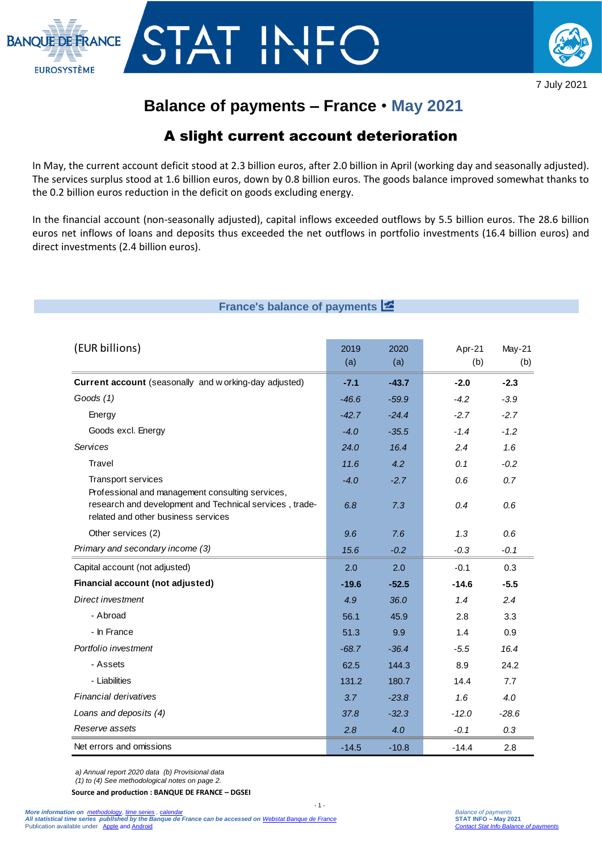



7 July 2021

# **Balance of payments – France** • **May 2021**

## A slight current account deterioration

In May, the current account deficit stood at 2.3 billion euros, after 2.0 billion in April (working day and seasonally adjusted). The services surplus stood at 1.6 billion euros, down by 0.8 billion euros. The goods balance improved somewhat thanks to the 0.2 billion euros reduction in the deficit on goods excluding energy.

In the financial account (non-seasonally adjusted), capital inflows exceeded outflows by 5.5 billion euros. The 28.6 billion euros net inflows of loans and deposits thus exceeded the net outflows in portfolio investments (16.4 billion euros) and direct investments (2.4 billion euros).

## **France's balance of payments**

| (EUR billions)                                                                                                                           | 2019<br>(a)   | 2020<br>(a)   | Apr-21<br>(b) | May-21<br>(b) |
|------------------------------------------------------------------------------------------------------------------------------------------|---------------|---------------|---------------|---------------|
| Current account (seasonally and working-day adjusted)                                                                                    | $-7.1$        | $-43.7$       | $-2.0$        | $-2.3$        |
| Goods $(1)$                                                                                                                              | $-46.6$       | $-59.9$       | $-4.2$        | $-3.9$        |
| Energy                                                                                                                                   | $-42.7$       | $-24.4$       | $-2.7$        | $-2.7$        |
| Goods excl. Energy                                                                                                                       | $-4.0$        | $-35.5$       | $-1.4$        | $-1.2$        |
| <b>Services</b>                                                                                                                          | 24.0          | 16.4          | 2.4           | 1.6           |
| Travel                                                                                                                                   | 11.6          | 4.2           | 0.1           | $-0.2$        |
| <b>Transport services</b><br>Professional and management consulting services,<br>research and development and Technical services, trade- | $-4.0$<br>6.8 | $-2.7$<br>7.3 | 0.6<br>0.4    | 0.7<br>0.6    |
| related and other business services                                                                                                      |               |               |               |               |
| Other services (2)                                                                                                                       | 9.6           | 7.6           | 1.3           | 0.6           |
| Primary and secondary income (3)                                                                                                         | 15.6          | $-0.2$        | $-0.3$        | $-0.1$        |
| Capital account (not adjusted)                                                                                                           | 2.0           | 2.0           | $-0.1$        | 0.3           |
| Financial account (not adjusted)                                                                                                         | $-19.6$       | $-52.5$       | $-14.6$       | $-5.5$        |
| Direct investment                                                                                                                        | 4.9           | 36.0          | 1.4           | 2.4           |
| - Abroad                                                                                                                                 | 56.1          | 45.9          | 2.8           | 3.3           |
| - In France                                                                                                                              | 51.3          | 9.9           | 1.4           | 0.9           |
| Portfolio investment                                                                                                                     | $-68.7$       | $-36.4$       | $-5.5$        | 16.4          |
| - Assets                                                                                                                                 | 62.5          | 144.3         | 8.9           | 24.2          |
| - Liabilities                                                                                                                            | 131.2         | 180.7         | 14.4          | 7.7           |
| Financial derivatives                                                                                                                    | 3.7           | $-23.8$       | 1.6           | 4.0           |
| Loans and deposits (4)                                                                                                                   | 37.8          | $-32.3$       | $-12.0$       | $-28.6$       |
| Reserve assets                                                                                                                           | 2.8           | 4.0           | $-0.1$        | 0.3           |
| Net errors and omissions                                                                                                                 | $-14.5$       | $-10.8$       | $-14.4$       | 2.8           |

*a) Annual report 2020 data (b) Provisional data (1) to (4) See methodological notes on page 2.*

**Source and production : BANQUE DE FRANCE – DGSEI**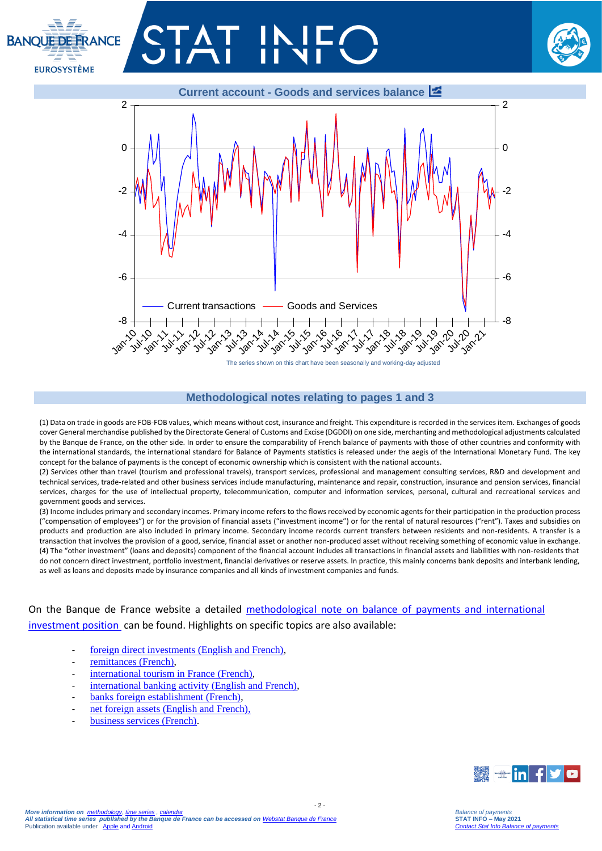# **BANOUT DE ERANCE EUROSYSTÈME**





#### **Methodological notes relating to pages 1 and 3**

(1) Data on trade in goods are FOB-FOB values, which means without cost, insurance and freight. This expenditure is recorded in the services item. Exchanges of goods cover General merchandise published by the Directorate General of Customs and Excise (DGDDI) on one side, merchanting and methodological adjustments calculated by the Banque de France, on the other side. In order to ensure the comparability of French balance of payments with those of other countries and conformity with the international standards, the international standard for Balance of Payments statistics is released under the aegis of the International Monetary Fund. The key concept for the balance of payments is the concept of economic ownership which is consistent with the national accounts.

(2) Services other than travel (tourism and professional travels), transport services, professional and management consulting services, R&D and development and technical services, trade-related and other business services include manufacturing, maintenance and repair, construction, insurance and pension services, financial services, charges for the use of intellectual property, telecommunication, computer and information services, personal, cultural and recreational services and government goods and services.

(3) Income includes primary and secondary incomes. Primary income refers to the flows received by economic agents for their participation in the production process ("compensation of employees") or for the provision of financial assets ("investment income") or for the rental of natural resources ("rent"). Taxes and subsidies on products and production are also included in primary income. Secondary income records current transfers between residents and non-residents. A transfer is a transaction that involves the provision of a good, service, financial asset or another non-produced asset without receiving something of economic value in exchange. (4) The "other investment" (loans and deposits) component of the financial account includes all transactions in financial assets and liabilities with non-residents that do not concern direct investment, portfolio investment, financial derivatives or reserve assets. In practice, this mainly concerns bank deposits and interbank lending, as well as loans and deposits made by insurance companies and all kinds of investment companies and funds.

 $-2$ 

On the Banque de France website a detailed [methodological note on balance of payments and international](https://www.banque-france.fr/sites/default/files/media/2016/11/16/bdp-gb-methodologie.pdf)  [investment position](https://www.banque-france.fr/sites/default/files/media/2016/11/16/bdp-gb-methodologie.pdf) can be found. Highlights on specific topics are also available:

- [foreign direct investments \(English and French\),](https://www.banque-france.fr/en/statistics/balance-payments/foreign-direct-investment)
- [remittances \(French\),](https://www.banque-france.fr/statistiques/balance-des-paiements/la-remuneration-des-salaries-et-les-envois-de-fonds-des-travailleurs)
- [international tourism in France](https://www.banque-france.fr/statistiques/balance-des-paiements/les-services-de-voyages) (French),
- [international banking activity \(English and French\),](https://www.banque-france.fr/en/statistics/balance-payments/international-banking-activity)
- [banks foreign establishment \(French\),](https://www.banque-france.fr/statistiques/balance-des-paiements/les-implantations-bancaires-letranger)
- net foreign assets (English and French).
- [business services \(French\).](https://www.banque-france.fr/statistiques/balance-des-paiements-et-statistiques-bancaires-internationales/services-hors-voyages/les-services-aux-entreprises)